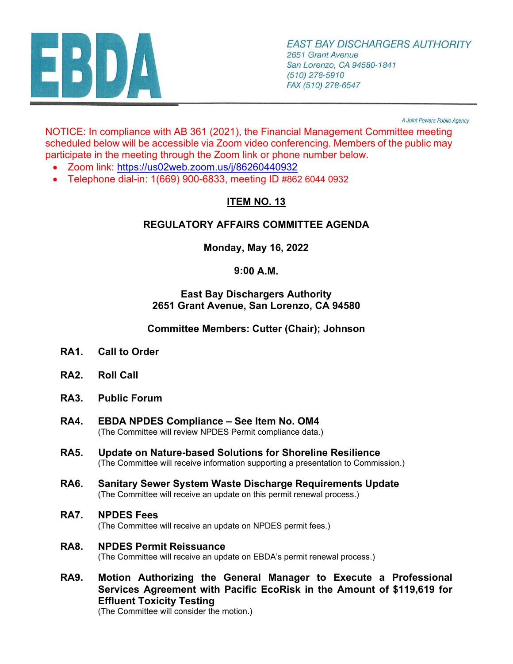

A Joint Powers Public Agency

NOTICE: In compliance with AB 361 (2021), the Financial Management Committee meeting scheduled below will be accessible via Zoom video conferencing. Members of the public may participate in the meeting through the Zoom link or phone number below.

- Zoom link: <https://us02web.zoom.us/j/86260440932>
- Telephone dial-in: 1(669) 900-6833, meeting ID #862 6044 0932

# **ITEM NO. 13**

## **REGULATORY AFFAIRS COMMITTEE AGENDA**

**Monday, May 16, 2022** 

## **9:00 A.M.**

### **East Bay Dischargers Authority 2651 Grant Avenue, San Lorenzo, CA 94580**

**Committee Members: Cutter (Chair); Johnson**

- **RA1. Call to Order**
- **RA2. Roll Call**
- **RA3. Public Forum**
- **RA4. EBDA NPDES Compliance See Item No. OM4**  (The Committee will review NPDES Permit compliance data.)
- **RA5. Update on Nature-based Solutions for Shoreline Resilience** (The Committee will receive information supporting a presentation to Commission.)
- **RA6. Sanitary Sewer System Waste Discharge Requirements Update** (The Committee will receive an update on this permit renewal process.)
- **RA7. NPDES Fees**

(The Committee will receive an update on NPDES permit fees.)

- **RA8. NPDES Permit Reissuance** (The Committee will receive an update on EBDA's permit renewal process.)
- **RA9. Motion Authorizing the General Manager to Execute a Professional Services Agreement with Pacific EcoRisk in the Amount of \$119,619 for Effluent Toxicity Testing**

(The Committee will consider the motion.)